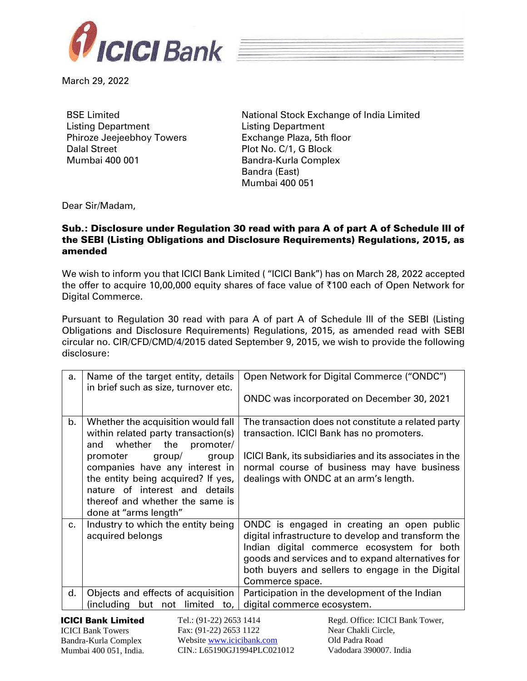



March 29, 2022

BSE Limited Listing Department Phiroze Jeejeebhoy Towers Dalal Street Mumbai 400 001

National Stock Exchange of India Limited Listing Department Exchange Plaza, 5th floor Plot No. C/1, G Block Bandra-Kurla Complex Bandra (East) Mumbai 400 051

Dear Sir/Madam,

## Sub.: Disclosure under Regulation 30 read with para A of part A of Schedule III of the SEBI (Listing Obligations and Disclosure Requirements) Regulations, 2015, as amended

We wish to inform you that ICICI Bank Limited ( "ICICI Bank") has on March 28, 2022 accepted the offer to acquire 10,00,000 equity shares of face value of  $\overline{\tau}$ 100 each of Open Network for Digital Commerce.

Pursuant to Regulation 30 read with para A of part A of Schedule III of the SEBI (Listing Obligations and Disclosure Requirements) Regulations, 2015, as amended read with SEBI circular no. CIR/CFD/CMD/4/2015 dated September 9, 2015, we wish to provide the following disclosure:

| a.                                                                                      | Name of the target entity, details<br>in brief such as size, turnover etc.                                                                                                                        | Open Network for Digital Commerce ("ONDC")                                                                                                                                                                                                                                  |  |
|-----------------------------------------------------------------------------------------|---------------------------------------------------------------------------------------------------------------------------------------------------------------------------------------------------|-----------------------------------------------------------------------------------------------------------------------------------------------------------------------------------------------------------------------------------------------------------------------------|--|
|                                                                                         |                                                                                                                                                                                                   | ONDC was incorporated on December 30, 2021                                                                                                                                                                                                                                  |  |
| b.                                                                                      | Whether the acquisition would fall<br>within related party transaction(s)<br>whether the<br>promoter/<br>and                                                                                      | The transaction does not constitute a related party<br>transaction. ICICI Bank has no promoters.                                                                                                                                                                            |  |
|                                                                                         | promoter<br>group/<br>group<br>companies have any interest in<br>the entity being acquired? If yes,<br>nature of interest and details<br>thereof and whether the same is<br>done at "arms length" | ICICI Bank, its subsidiaries and its associates in the<br>normal course of business may have business<br>dealings with ONDC at an arm's length.                                                                                                                             |  |
| C <sub>1</sub>                                                                          | Industry to which the entity being<br>acquired belongs                                                                                                                                            | ONDC is engaged in creating an open public<br>digital infrastructure to develop and transform the<br>Indian digital commerce ecosystem for both<br>goods and services and to expand alternatives for<br>both buyers and sellers to engage in the Digital<br>Commerce space. |  |
| d.                                                                                      | Objects and effects of acquisition<br>(including but not<br>limited<br>to,                                                                                                                        | Participation in the development of the Indian<br>digital commerce ecosystem.                                                                                                                                                                                               |  |
| <b>ICICI Bank Limited</b><br>Tel.: (91-22) 2653 1414<br>Regd. Office: ICICI Bank Tower, |                                                                                                                                                                                                   |                                                                                                                                                                                                                                                                             |  |

ICICI Bank Towers Bandra-Kurla Complex Mumbai 400 051, India. Fax: (91-22) 2653 1122 Website [www.icicibank.com](http://www.icicibank.com/) CIN.: L65190GJ1994PLC021012 Near Chakli Circle, Old Padra Road Vadodara 390007. India